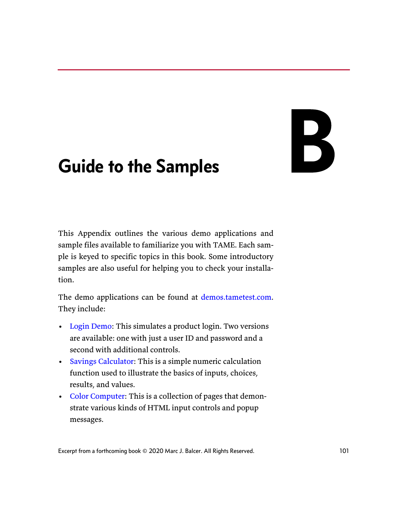# 

# Guide to the Samples

This Appendix outlines the various demo applications and sample files available to familiarize you with TAME. Each sample is keyed to specific topics in this book. Some introductory samples are also useful for helping you to check your installation.

The demo applications can be found at [demos.tametest.com](http://demos.tametest.com). They include:

- [Login Demo:](#page-2-0) This simulates a product login. Two versions are available: one with just a user ID and password and a second with additional controls.
- [Savings Calculator:](#page-4-0) This is a simple numeric calculation function used to illustrate the basics of inputs, choices, results, and values.
- [Color Computer:](#page-6-0) This is a collection of pages that demonstrate various kinds of HTML input controls and popup messages.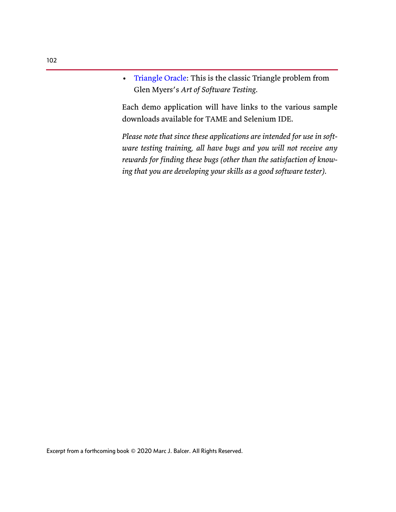• [Triangle Oracle](#page-12-0): This is the classic Triangle problem from Glen Myers's *Art of Software Testing*.

Each demo application will have links to the various sample downloads available for TAME and Selenium IDE.

*Please note that since these applications are intended for use in software testing training, all have bugs and you will not receive any rewards for finding these bugs (other than the satisfaction of knowing that you are developing your skills as a good software tester).*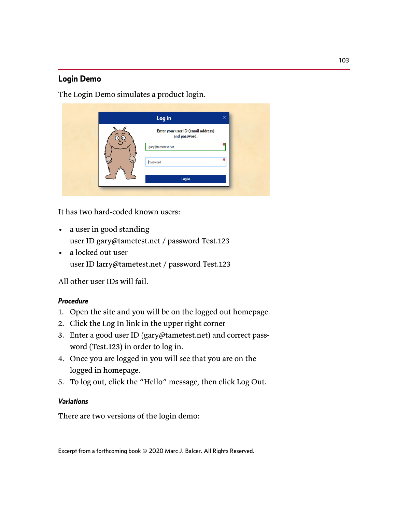# <span id="page-2-0"></span>Login Demo

The Login Demo simulates a product login.

| Log in                                              | $\boldsymbol{\mathsf{x}}$ |
|-----------------------------------------------------|---------------------------|
| Enter your user ID (email address)<br>and password. |                           |
| gary@tametest.net                                   |                           |
| Password                                            | 圣                         |
| Log in                                              |                           |
|                                                     |                           |

It has two hard-coded known users:

- a user in good standing user ID gary@tametest.net / password Test.123
- a locked out user user ID larry@tametest.net / password Test.123

All other user IDs will fail.

# *Procedure*

- 1. Open the site and you will be on the logged out homepage.
- 2. Click the Log In link in the upper right corner
- 3. Enter a good user ID (gary@tametest.net) and correct password (Test.123) in order to log in.
- 4. Once you are logged in you will see that you are on the logged in homepage.
- 5. To log out, click the "Hello" message, then click Log Out.

# *Variations*

There are two versions of the login demo: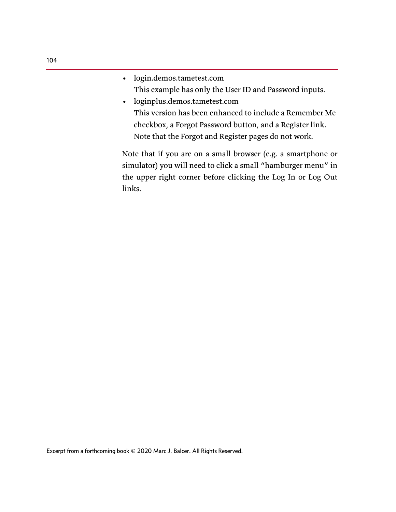- login.demos.tametest.com This example has only the User ID and Password inputs.
- loginplus.demos.tametest.com This version has been enhanced to include a Remember Me checkbox, a Forgot Password button, and a Register link. Note that the Forgot and Register pages do not work.

Note that if you are on a small browser (e.g. a smartphone or simulator) you will need to click a small "hamburger menu" in the upper right corner before clicking the Log In or Log Out links.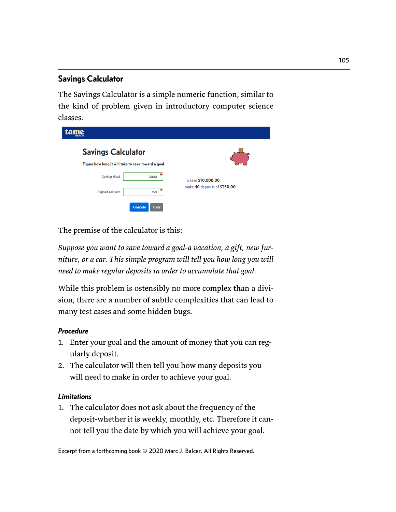# <span id="page-4-0"></span>Savings Calculator

The Savings Calculator is a simple numeric function, similar to the kind of problem given in introductory computer science classes.

| tame<br><b>DEMOS</b>                                |                                                     |  |  |
|-----------------------------------------------------|-----------------------------------------------------|--|--|
| <b>Savings Calculator</b>                           |                                                     |  |  |
| Figure how long it will take to save toward a goal. |                                                     |  |  |
| <b>Savings Goal</b><br>10000                        | To save \$10,000.00<br>make 40 deposits of \$250.00 |  |  |
| ₩<br><b>Deposit Amount</b><br>250                   |                                                     |  |  |
| Compute<br><b>Clear</b>                             |                                                     |  |  |

The premise of the calculator is this:

*Suppose you want to save toward a goal-a vacation, a gift, new furniture, or a car. This simple program will tell you how long you will need to make regular deposits in order to accumulate that goal.*

While this problem is ostensibly no more complex than a division, there are a number of subtle complexities that can lead to many test cases and some hidden bugs.

# *Procedure*

- 1. Enter your goal and the amount of money that you can regularly deposit.
- 2. The calculator will then tell you how many deposits you will need to make in order to achieve your goal.

# *Limitations*

1. The calculator does not ask about the frequency of the deposit-whether it is weekly, monthly, etc. Therefore it cannot tell you the date by which you will achieve your goal.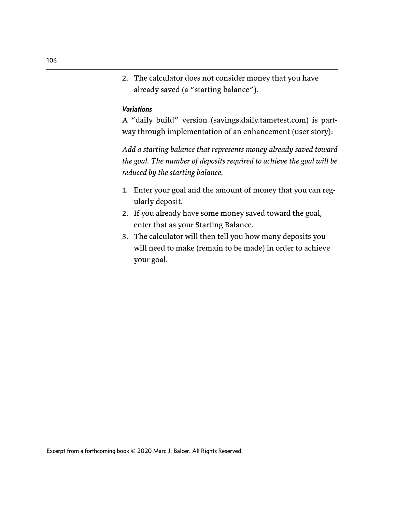2. The calculator does not consider money that you have already saved (a "starting balance").

#### *Variations*

A "daily build" version (savings.daily.tametest.com) is partway through implementation of an enhancement (user story):

*Add a starting balance that represents money already saved toward the goal. The number of deposits required to achieve the goal will be reduced by the starting balance.*

- 1. Enter your goal and the amount of money that you can regularly deposit.
- 2. If you already have some money saved toward the goal, enter that as your Starting Balance.
- 3. The calculator will then tell you how many deposits you will need to make (remain to be made) in order to achieve your goal.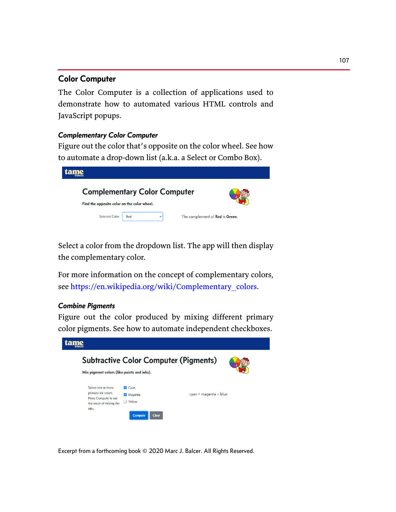# <span id="page-6-0"></span>Color Computer

The Color Computer is a collection of applications used to demonstrate how to automated various HTML controls and JavaScript popups.

#### *Complementary Color Computer*

Figure out the color that's opposite on the color wheel. See how to automate a drop-down list (a.k.a. a Select or Combo Box).



Select a color from the dropdown list. The app will then display the complementary color.

[For more information on the concept of complementary colors,](https://en.wikipedia.org/wiki/Complementary_colors) [see](https://en.wikipedia.org/wiki/Complementary_colors) https://en.wikipedia.org/wiki/Complementary\_colors.

#### *Combine Pigments*

Figure out the color produced by mixing different primary color pigments. See how to automate independent checkboxes.

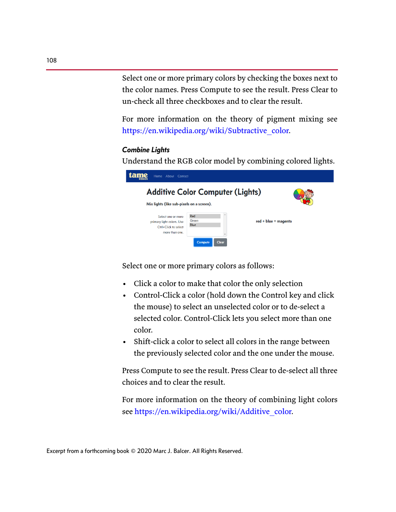Select one or more primary colors by checking the boxes next to the color names. Press Compute to see the result. Press Clear to un-check all three checkboxes and to clear the result.

For more information on the theory of pigment mixing see [https://en.wikipedia.org/wiki/Subtractive\\_color.](https://en.wikipedia.org/wiki/Subtractive_color)

#### *Combine Lights*

Understand the RGB color model by combining colored lights.



Select one or more primary colors as follows:

- Click a color to make that color the only selection
- Control-Click a color (hold down the Control key and click the mouse) to select an unselected color or to de-select a selected color. Control-Click lets you select more than one color.
- Shift-click a color to select all colors in the range between the previously selected color and the one under the mouse.

Press Compute to see the result. Press Clear to de-select all three choices and to clear the result.

For more information on the theory of combining light colors see [https://en.wikipedia.org/wiki/Additive\\_color.](https://en.wikipedia.org/wiki/Additive_color)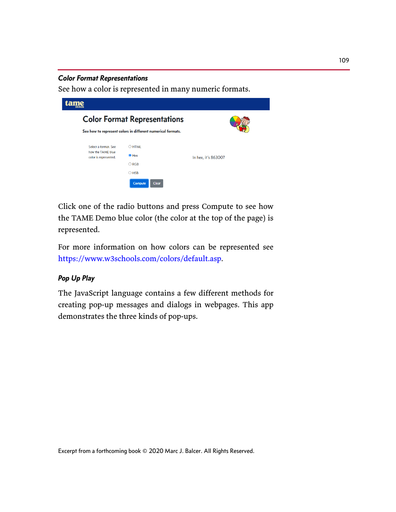#### *Color Format Representations*

See how a color is represented in many numeric formats.



Click one of the radio buttons and press Compute to see how the TAME Demo blue color (the color at the top of the page) is represented.

For more information on how colors can be represented see <https://www.w3schools.com/colors/default.asp>.

# *Pop Up Play*

The JavaScript language contains a few different methods for creating pop-up messages and dialogs in webpages. This app demonstrates the three kinds of pop-ups.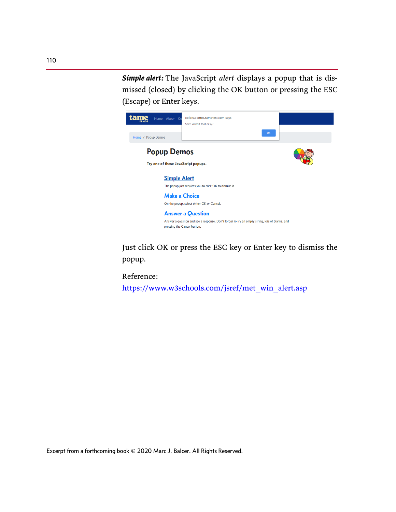*Simple alert:* The JavaScript *alert* displays a popup that is dismissed (closed) by clicking the OK button or pressing the ESC (Escape) or Enter keys.



Just click OK or press the ESC key or Enter key to dismiss the popup.

Reference:

[https://www.w3schools.com/jsref/met\\_win\\_alert.asp](https://www.w3schools.com/jsref/met_win_alert.asp)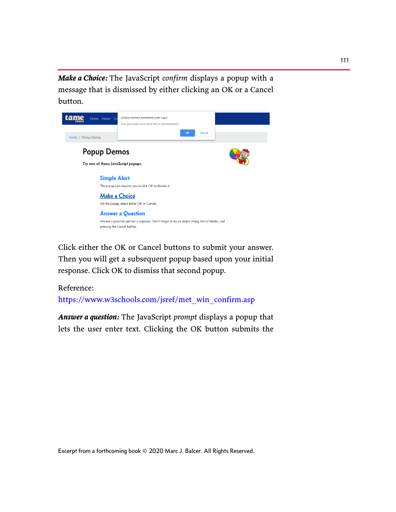*Make a Choice:* The JavaScript *confirm* displays a popup with a message that is dismissed by either clicking an OK or a Cancel button.



Click either the OK or Cancel buttons to submit your answer. Then you will get a subsequent popup based upon your initial response. Click OK to dismiss that second popup.

#### Reference:

[https://www.w3schools.com/jsref/met\\_win\\_confirm.asp](https://www.w3schools.com/jsref/met_win_confirm.asp)

*Answer a question:* The JavaScript *prompt* displays a popup that lets the user enter text. Clicking the OK button submits the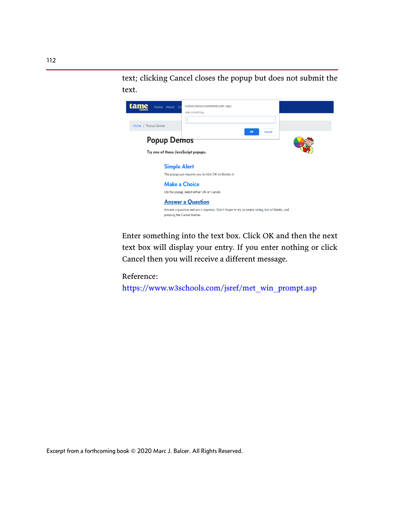text; clicking Cancel closes the popup but does not submit the text.



Enter something into the text box. Click OK and then the next text box will display your entry. If you enter nothing or click Cancel then you will receive a different message.

Reference:

[https://www.w3schools.com/jsref/met\\_win\\_prompt.asp](https://www.w3schools.com/jsref/met_win_prompt.asp)